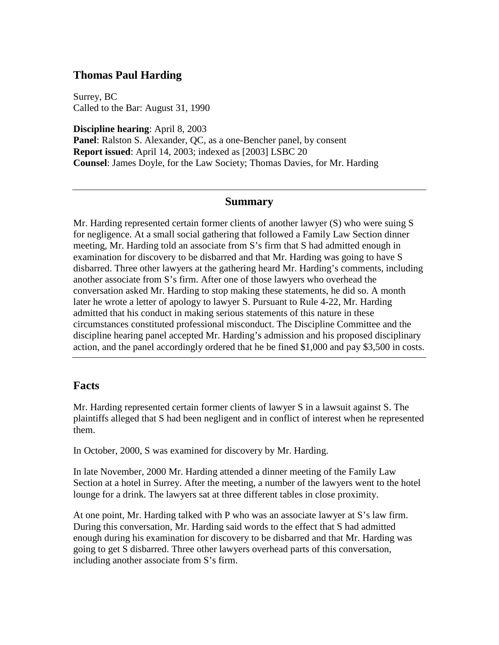## **Thomas Paul Harding**

Surrey, BC Called to the Bar: August 31, 1990

**Discipline hearing**: April 8, 2003

**Panel**: Ralston S. Alexander, QC, as a one-Bencher panel, by consent **Report issued**: April 14, 2003; indexed as [2003] LSBC 20 **Counsel**: James Doyle, for the Law Society; Thomas Davies, for Mr. Harding

## **Summary**

Mr. Harding represented certain former clients of another lawyer (S) who were suing S for negligence. At a small social gathering that followed a Family Law Section dinner meeting, Mr. Harding told an associate from S's firm that S had admitted enough in examination for discovery to be disbarred and that Mr. Harding was going to have S disbarred. Three other lawyers at the gathering heard Mr. Harding's comments, including another associate from S's firm. After one of those lawyers who overhead the conversation asked Mr. Harding to stop making these statements, he did so. A month later he wrote a letter of apology to lawyer S. Pursuant to Rule 4-22, Mr. Harding admitted that his conduct in making serious statements of this nature in these circumstances constituted professional misconduct. The Discipline Committee and the discipline hearing panel accepted Mr. Harding's admission and his proposed disciplinary action, and the panel accordingly ordered that he be fined \$1,000 and pay \$3,500 in costs.

## **Facts**

Mr. Harding represented certain former clients of lawyer S in a lawsuit against S. The plaintiffs alleged that S had been negligent and in conflict of interest when he represented them.

In October, 2000, S was examined for discovery by Mr. Harding.

In late November, 2000 Mr. Harding attended a dinner meeting of the Family Law Section at a hotel in Surrey. After the meeting, a number of the lawyers went to the hotel lounge for a drink. The lawyers sat at three different tables in close proximity.

At one point, Mr. Harding talked with P who was an associate lawyer at S's law firm. During this conversation, Mr. Harding said words to the effect that S had admitted enough during his examination for discovery to be disbarred and that Mr. Harding was going to get S disbarred. Three other lawyers overhead parts of this conversation, including another associate from S's firm.